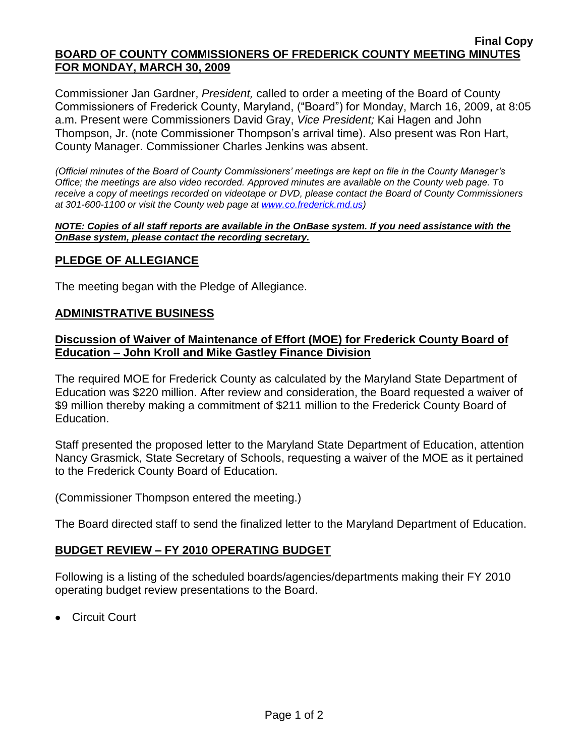#### **Final Copy BOARD OF COUNTY COMMISSIONERS OF FREDERICK COUNTY MEETING MINUTES FOR MONDAY, MARCH 30, 2009**

Commissioner Jan Gardner, *President,* called to order a meeting of the Board of County Commissioners of Frederick County, Maryland, ("Board") for Monday, March 16, 2009, at 8:05 a.m. Present were Commissioners David Gray, *Vice President;* Kai Hagen and John Thompson, Jr. (note Commissioner Thompson's arrival time). Also present was Ron Hart, County Manager. Commissioner Charles Jenkins was absent.

*(Official minutes of the Board of County Commissioners' meetings are kept on file in the County Manager's Office; the meetings are also video recorded. Approved minutes are available on the County web page. To receive a copy of meetings recorded on videotape or DVD, please contact the Board of County Commissioners at 301-600-1100 or visit the County web page at [www.co.frederick.md.us\)](http://www.co.frederick.md.us/)*

#### *NOTE: Copies of all staff reports are available in the OnBase system. If you need assistance with the OnBase system, please contact the recording secretary.*

## **PLEDGE OF ALLEGIANCE**

The meeting began with the Pledge of Allegiance.

### **ADMINISTRATIVE BUSINESS**

### **Discussion of Waiver of Maintenance of Effort (MOE) for Frederick County Board of Education – John Kroll and Mike Gastley Finance Division**

The required MOE for Frederick County as calculated by the Maryland State Department of Education was \$220 million. After review and consideration, the Board requested a waiver of \$9 million thereby making a commitment of \$211 million to the Frederick County Board of Education.

Staff presented the proposed letter to the Maryland State Department of Education, attention Nancy Grasmick, State Secretary of Schools, requesting a waiver of the MOE as it pertained to the Frederick County Board of Education.

(Commissioner Thompson entered the meeting.)

The Board directed staff to send the finalized letter to the Maryland Department of Education.

### **BUDGET REVIEW – FY 2010 OPERATING BUDGET**

Following is a listing of the scheduled boards/agencies/departments making their FY 2010 operating budget review presentations to the Board.

Circuit Court